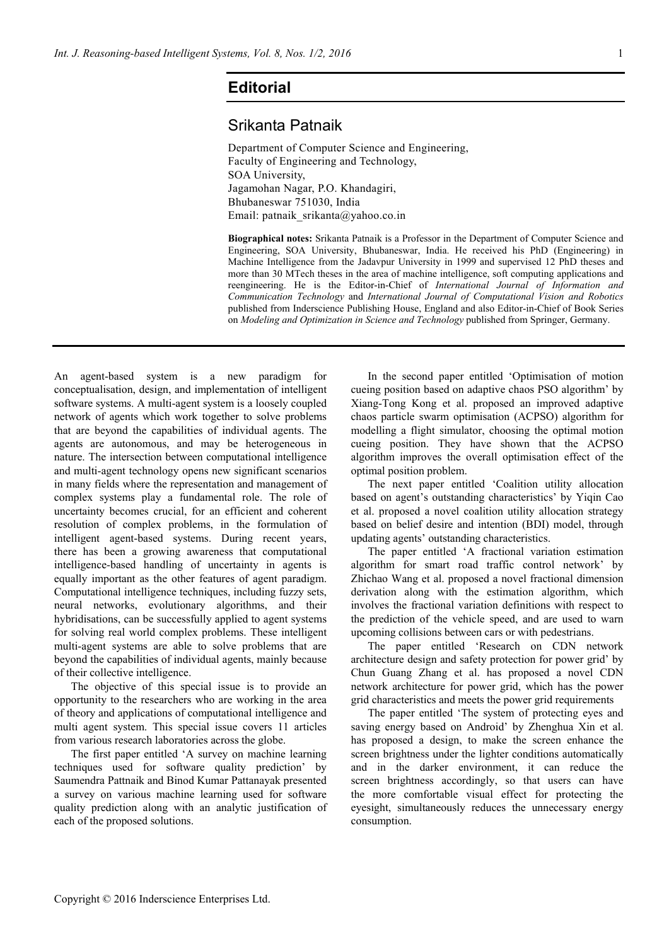## **Editorial**

## Srikanta Patnaik

Department of Computer Science and Engineering, Faculty of Engineering and Technology, SOA University, Jagamohan Nagar, P.O. Khandagiri, Bhubaneswar 751030, India Email: patnaik\_srikanta@yahoo.co.in

**Biographical notes:** Srikanta Patnaik is a Professor in the Department of Computer Science and Engineering, SOA University, Bhubaneswar, India. He received his PhD (Engineering) in Machine Intelligence from the Jadavpur University in 1999 and supervised 12 PhD theses and more than 30 MTech theses in the area of machine intelligence, soft computing applications and reengineering. He is the Editor-in-Chief of *International Journal of Information and Communication Technology* and *International Journal of Computational Vision and Robotics*  published from Inderscience Publishing House, England and also Editor-in-Chief of Book Series on *Modeling and Optimization in Science and Technology* published from Springer, Germany.

An agent-based system is a new paradigm for conceptualisation, design, and implementation of intelligent software systems. A multi-agent system is a loosely coupled network of agents which work together to solve problems that are beyond the capabilities of individual agents. The agents are autonomous, and may be heterogeneous in nature. The intersection between computational intelligence and multi-agent technology opens new significant scenarios in many fields where the representation and management of complex systems play a fundamental role. The role of uncertainty becomes crucial, for an efficient and coherent resolution of complex problems, in the formulation of intelligent agent-based systems. During recent years, there has been a growing awareness that computational intelligence-based handling of uncertainty in agents is equally important as the other features of agent paradigm. Computational intelligence techniques, including fuzzy sets, neural networks, evolutionary algorithms, and their hybridisations, can be successfully applied to agent systems for solving real world complex problems. These intelligent multi-agent systems are able to solve problems that are beyond the capabilities of individual agents, mainly because of their collective intelligence.

The objective of this special issue is to provide an opportunity to the researchers who are working in the area of theory and applications of computational intelligence and multi agent system. This special issue covers 11 articles from various research laboratories across the globe.

The first paper entitled 'A survey on machine learning techniques used for software quality prediction' by Saumendra Pattnaik and Binod Kumar Pattanayak presented a survey on various machine learning used for software quality prediction along with an analytic justification of each of the proposed solutions.

In the second paper entitled 'Optimisation of motion cueing position based on adaptive chaos PSO algorithm' by Xiang-Tong Kong et al. proposed an improved adaptive chaos particle swarm optimisation (ACPSO) algorithm for modelling a flight simulator, choosing the optimal motion cueing position. They have shown that the ACPSO algorithm improves the overall optimisation effect of the optimal position problem.

The next paper entitled 'Coalition utility allocation based on agent's outstanding characteristics' by Yiqin Cao et al. proposed a novel coalition utility allocation strategy based on belief desire and intention (BDI) model, through updating agents' outstanding characteristics.

The paper entitled 'A fractional variation estimation algorithm for smart road traffic control network' by Zhichao Wang et al. proposed a novel fractional dimension derivation along with the estimation algorithm, which involves the fractional variation definitions with respect to the prediction of the vehicle speed, and are used to warn upcoming collisions between cars or with pedestrians.

The paper entitled 'Research on CDN network architecture design and safety protection for power grid' by Chun Guang Zhang et al. has proposed a novel CDN network architecture for power grid, which has the power grid characteristics and meets the power grid requirements

The paper entitled 'The system of protecting eyes and saving energy based on Android' by Zhenghua Xin et al. has proposed a design, to make the screen enhance the screen brightness under the lighter conditions automatically and in the darker environment, it can reduce the screen brightness accordingly, so that users can have the more comfortable visual effect for protecting the eyesight, simultaneously reduces the unnecessary energy consumption.